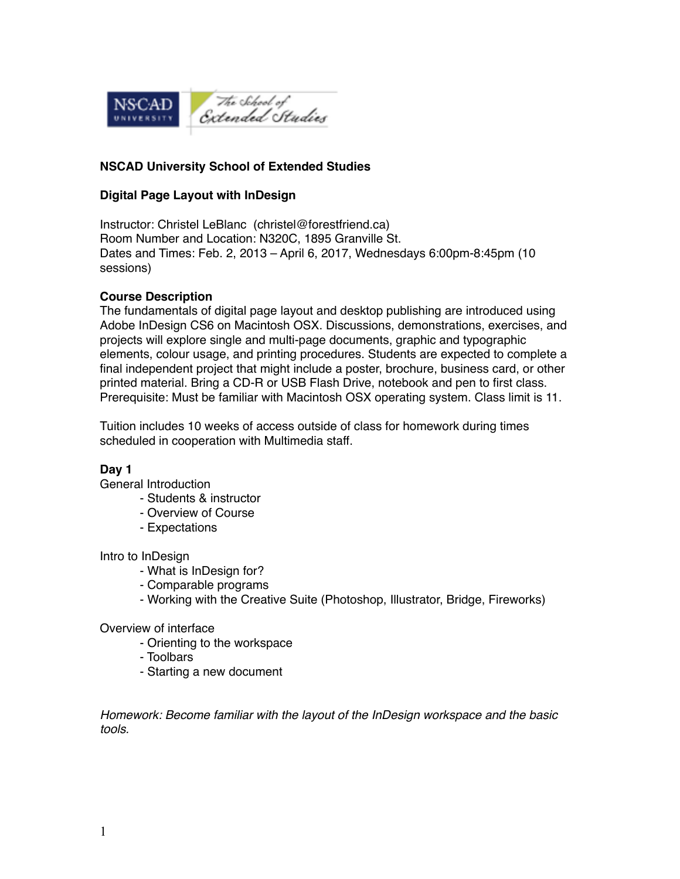

### **NSCAD University School of Extended Studies**

### **Digital Page Layout with InDesign**

Instructor: Christel LeBlanc (christel@forestfriend.ca) Room Number and Location: N320C, 1895 Granville St. Dates and Times: Feb. 2, 2013 – April 6, 2017, Wednesdays 6:00pm-8:45pm (10 sessions)

#### **Course Description**

The fundamentals of digital page layout and desktop publishing are introduced using Adobe InDesign CS6 on Macintosh OSX. Discussions, demonstrations, exercises, and projects will explore single and multi-page documents, graphic and typographic elements, colour usage, and printing procedures. Students are expected to complete a final independent project that might include a poster, brochure, business card, or other printed material. Bring a CD-R or USB Flash Drive, notebook and pen to first class. Prerequisite: Must be familiar with Macintosh OSX operating system. Class limit is 11.

Tuition includes 10 weeks of access outside of class for homework during times scheduled in cooperation with Multimedia staff.

### **Day 1**

General Introduction

- Students & instructor
- Overview of Course
- Expectations

Intro to InDesign

- What is InDesign for?
- Comparable programs
- Working with the Creative Suite (Photoshop, Illustrator, Bridge, Fireworks)

#### Overview of interface

- Orienting to the workspace
- Toolbars
- Starting a new document

*Homework: Become familiar with the layout of the InDesign workspace and the basic tools.*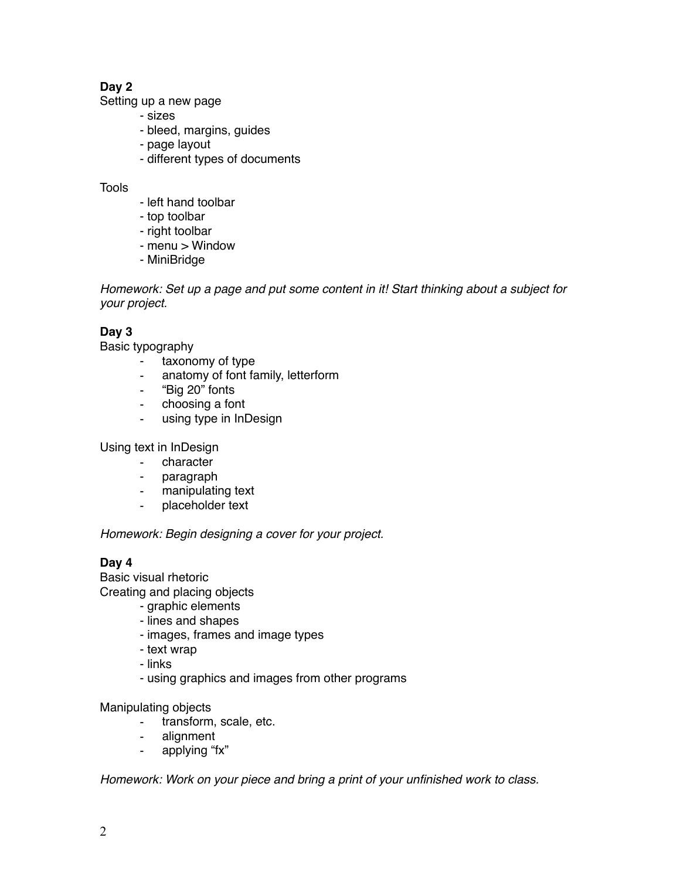# **Day 2**

Setting up a new page

- sizes
- bleed, margins, guides
- page layout
- different types of documents

### **Tools**

- left hand toolbar
- top toolbar
- right toolbar
- menu > Window
- MiniBridge

*Homework: Set up a page and put some content in it! Start thinking about a subject for your project.*

# **Day 3**

Basic typography

- taxonomy of type
- anatomy of font family, letterform
- "Big 20" fonts
- choosing a font
- using type in InDesign

Using text in InDesign

- character
- paragraph
- manipulating text
- placeholder text

*Homework: Begin designing a cover for your project.*

# **Day 4**

Basic visual rhetoric

Creating and placing objects

- graphic elements
- lines and shapes
- images, frames and image types
- text wrap
- links
- using graphics and images from other programs

Manipulating objects

- transform, scale, etc.
- alignment
- applying "fx"

*Homework: Work on your piece and bring a print of your unfinished work to class.*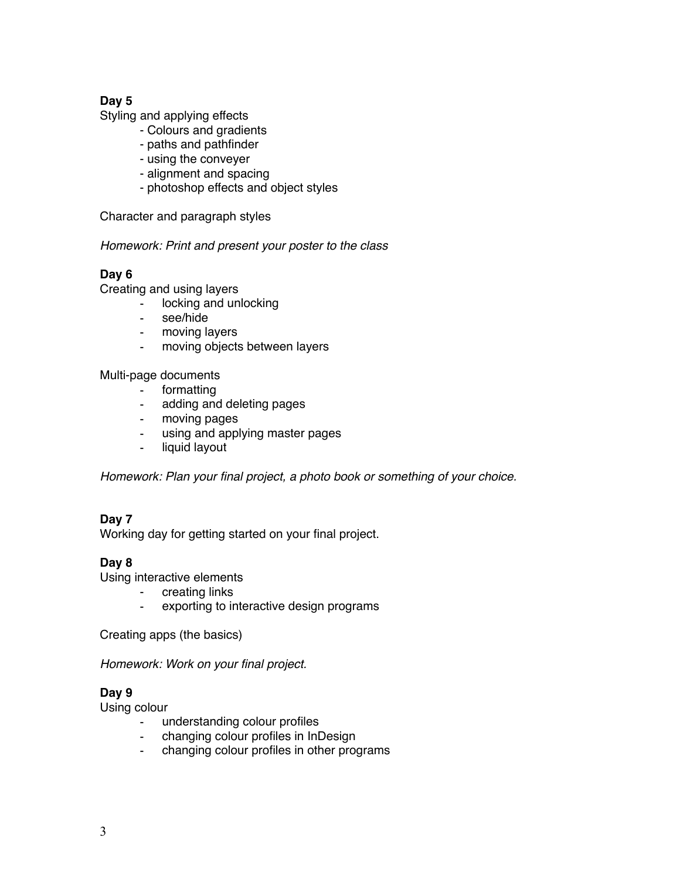# **Day 5**

Styling and applying effects

- Colours and gradients
- paths and pathfinder
- using the conveyer
- alignment and spacing
- photoshop effects and object styles

Character and paragraph styles

*Homework: Print and present your poster to the class*

### **Day 6**

Creating and using layers

- locking and unlocking
- see/hide
- moving layers
- moving objects between layers

Multi-page documents

- formatting
- adding and deleting pages
- moving pages
- using and applying master pages
- liquid layout

*Homework: Plan your final project, a photo book or something of your choice.*

### **Day 7**

Working day for getting started on your final project.

### **Day 8**

Using interactive elements

- creating links
- exporting to interactive design programs

Creating apps (the basics)

*Homework: Work on your final project.*

### **Day 9**

Using colour

- understanding colour profiles
- changing colour profiles in InDesign
- changing colour profiles in other programs